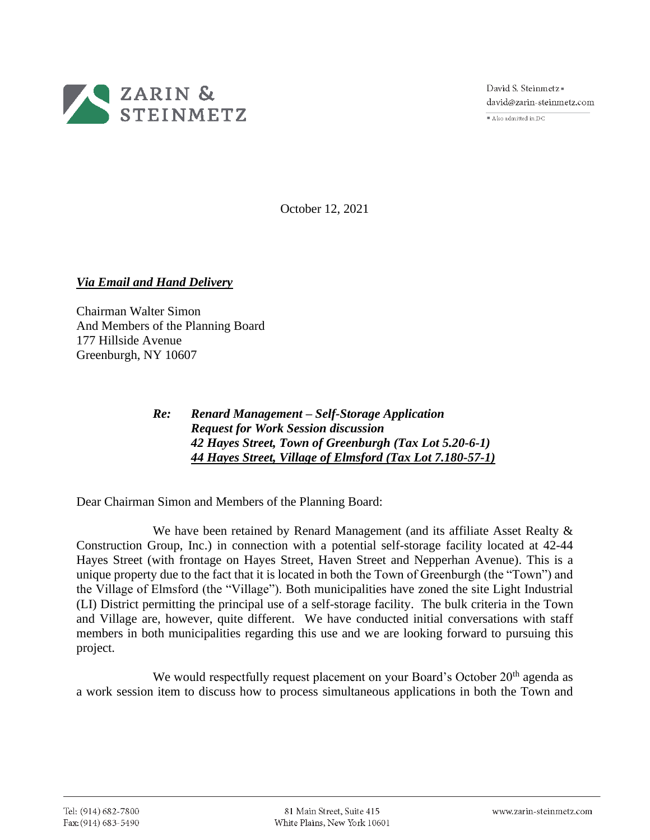

David S. Steinmetz = david@zarin-steinmetz.com

 $\overline{\bullet}$  Also admitted in DC

October 12, 2021

*Via Email and Hand Delivery*

Chairman Walter Simon And Members of the Planning Board 177 Hillside Avenue Greenburgh, NY 10607

## *Re: Renard Management – Self-Storage Application Request for Work Session discussion 42 Hayes Street, Town of Greenburgh (Tax Lot 5.20-6-1) 44 Hayes Street, Village of Elmsford (Tax Lot 7.180-57-1)*

Dear Chairman Simon and Members of the Planning Board:

We have been retained by Renard Management (and its affiliate Asset Realty  $\&$ Construction Group, Inc.) in connection with a potential self-storage facility located at 42-44 Hayes Street (with frontage on Hayes Street, Haven Street and Nepperhan Avenue). This is a unique property due to the fact that it is located in both the Town of Greenburgh (the "Town") and the Village of Elmsford (the "Village"). Both municipalities have zoned the site Light Industrial (LI) District permitting the principal use of a self-storage facility. The bulk criteria in the Town and Village are, however, quite different. We have conducted initial conversations with staff members in both municipalities regarding this use and we are looking forward to pursuing this project.

We would respectfully request placement on your Board's October  $20<sup>th</sup>$  agenda as a work session item to discuss how to process simultaneous applications in both the Town and